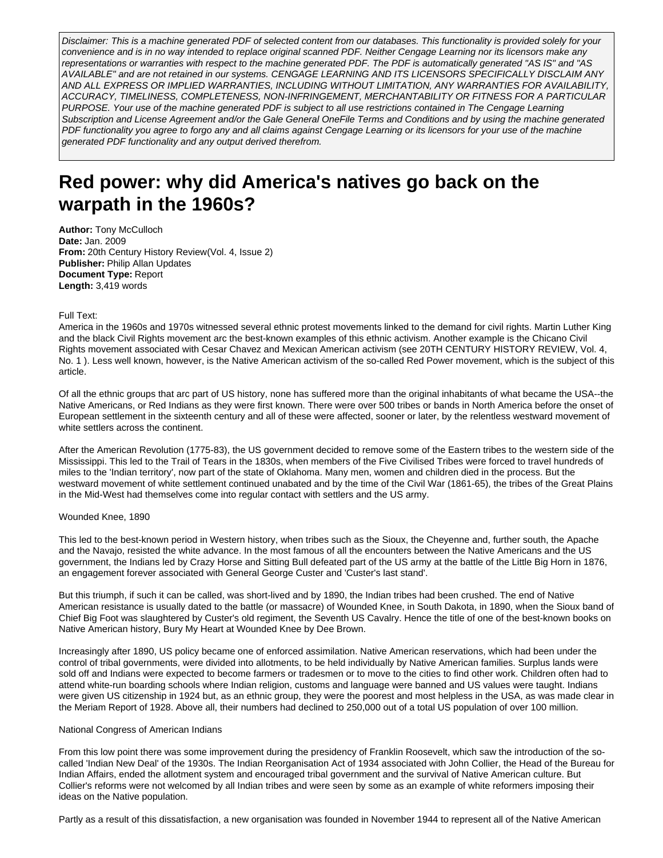Disclaimer: This is a machine generated PDF of selected content from our databases. This functionality is provided solely for your convenience and is in no way intended to replace original scanned PDF. Neither Cengage Learning nor its licensors make any representations or warranties with respect to the machine generated PDF. The PDF is automatically generated "AS IS" and "AS AVAILABLE" and are not retained in our systems. CENGAGE LEARNING AND ITS LICENSORS SPECIFICALLY DISCLAIM ANY AND ALL EXPRESS OR IMPLIED WARRANTIES, INCLUDING WITHOUT LIMITATION, ANY WARRANTIES FOR AVAILABILITY, ACCURACY, TIMELINESS, COMPLETENESS, NON-INFRINGEMENT, MERCHANTABILITY OR FITNESS FOR A PARTICULAR PURPOSE. Your use of the machine generated PDF is subject to all use restrictions contained in The Cengage Learning Subscription and License Agreement and/or the Gale General OneFile Terms and Conditions and by using the machine generated PDF functionality you agree to forgo any and all claims against Cengage Learning or its licensors for your use of the machine generated PDF functionality and any output derived therefrom.

# **Red power: why did America's natives go back on the warpath in the 1960s?**

**Author:** Tony McCulloch **Date:** Jan. 2009 **From:** 20th Century History Review(Vol. 4, Issue 2) **Publisher:** Philip Allan Updates **Document Type:** Report **Length:** 3,419 words

## Full Text:

America in the 1960s and 1970s witnessed several ethnic protest movements linked to the demand for civil rights. Martin Luther King and the black Civil Rights movement arc the best-known examples of this ethnic activism. Another example is the Chicano Civil Rights movement associated with Cesar Chavez and Mexican American activism (see 20TH CENTURY HISTORY REVIEW, Vol. 4, No. 1 ). Less well known, however, is the Native American activism of the so-called Red Power movement, which is the subject of this article.

Of all the ethnic groups that arc part of US history, none has suffered more than the original inhabitants of what became the USA--the Native Americans, or Red Indians as they were first known. There were over 500 tribes or bands in North America before the onset of European settlement in the sixteenth century and all of these were affected, sooner or later, by the relentless westward movement of white settlers across the continent.

After the American Revolution (1775-83), the US government decided to remove some of the Eastern tribes to the western side of the Mississippi. This led to the Trail of Tears in the 1830s, when members of the Five Civilised Tribes were forced to travel hundreds of miles to the 'Indian territory', now part of the state of Oklahoma. Many men, women and children died in the process. But the westward movement of white settlement continued unabated and by the time of the Civil War (1861-65), the tribes of the Great Plains in the Mid-West had themselves come into regular contact with settlers and the US army.

## Wounded Knee, 1890

This led to the best-known period in Western history, when tribes such as the Sioux, the Cheyenne and, further south, the Apache and the Navajo, resisted the white advance. In the most famous of all the encounters between the Native Americans and the US government, the Indians led by Crazy Horse and Sitting Bull defeated part of the US army at the battle of the Little Big Horn in 1876, an engagement forever associated with General George Custer and 'Custer's last stand'.

But this triumph, if such it can be called, was short-lived and by 1890, the Indian tribes had been crushed. The end of Native American resistance is usually dated to the battle (or massacre) of Wounded Knee, in South Dakota, in 1890, when the Sioux band of Chief Big Foot was slaughtered by Custer's old regiment, the Seventh US Cavalry. Hence the title of one of the best-known books on Native American history, Bury My Heart at Wounded Knee by Dee Brown.

Increasingly after 1890, US policy became one of enforced assimilation. Native American reservations, which had been under the control of tribal governments, were divided into allotments, to be held individually by Native American families. Surplus lands were sold off and Indians were expected to become farmers or tradesmen or to move to the cities to find other work. Children often had to attend white-run boarding schools where Indian religion, customs and language were banned and US values were taught. Indians were given US citizenship in 1924 but, as an ethnic group, they were the poorest and most helpless in the USA, as was made clear in the Meriam Report of 1928. Above all, their numbers had declined to 250,000 out of a total US population of over 100 million.

## National Congress of American Indians

From this low point there was some improvement during the presidency of Franklin Roosevelt, which saw the introduction of the socalled 'Indian New Deal' of the 1930s. The Indian Reorganisation Act of 1934 associated with John Collier, the Head of the Bureau for Indian Affairs, ended the allotment system and encouraged tribal government and the survival of Native American culture. But Collier's reforms were not welcomed by all Indian tribes and were seen by some as an example of white reformers imposing their ideas on the Native population.

Partly as a result of this dissatisfaction, a new organisation was founded in November 1944 to represent all of the Native American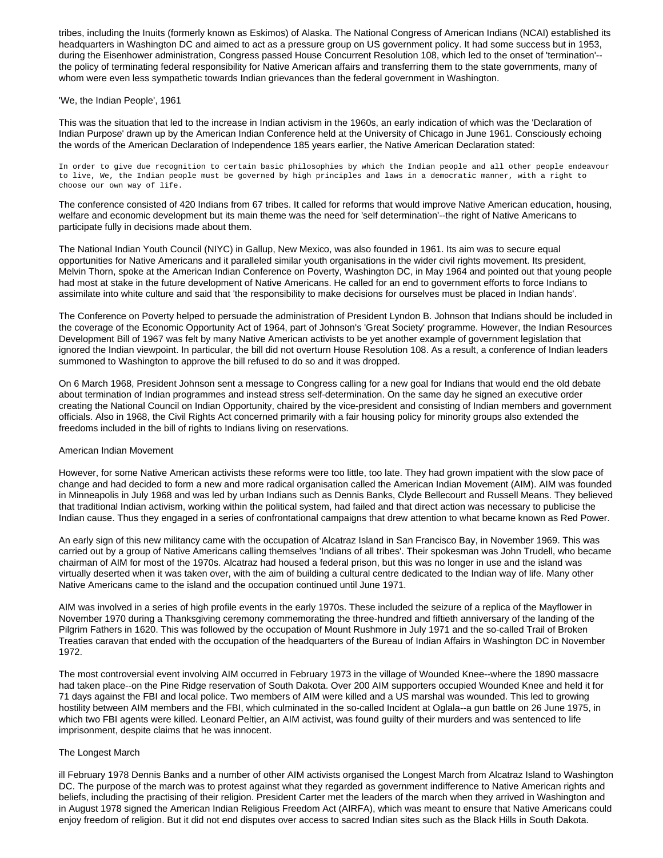tribes, including the Inuits (formerly known as Eskimos) of Alaska. The National Congress of American Indians (NCAI) established its headquarters in Washington DC and aimed to act as a pressure group on US government policy. It had some success but in 1953, during the Eisenhower administration, Congress passed House Concurrent Resolution 108, which led to the onset of 'termination'- the policy of terminating federal responsibility for Native American affairs and transferring them to the state governments, many of whom were even less sympathetic towards Indian grievances than the federal government in Washington.

## 'We, the Indian People', 1961

This was the situation that led to the increase in Indian activism in the 1960s, an early indication of which was the 'Declaration of Indian Purpose' drawn up by the American Indian Conference held at the University of Chicago in June 1961. Consciously echoing the words of the American Declaration of Independence 185 years earlier, the Native American Declaration stated:

In order to give due recognition to certain basic philosophies by which the Indian people and all other people endeavour to live, We, the Indian people must be governed by high principles and laws in a democratic manner, with a right to choose our own way of life.

The conference consisted of 420 Indians from 67 tribes. It called for reforms that would improve Native American education, housing, welfare and economic development but its main theme was the need for 'self determination'--the right of Native Americans to participate fully in decisions made about them.

The National Indian Youth Council (NIYC) in Gallup, New Mexico, was also founded in 1961. Its aim was to secure equal opportunities for Native Americans and it paralleled similar youth organisations in the wider civil rights movement. Its president, Melvin Thorn, spoke at the American Indian Conference on Poverty, Washington DC, in May 1964 and pointed out that young people had most at stake in the future development of Native Americans. He called for an end to government efforts to force Indians to assimilate into white culture and said that 'the responsibility to make decisions for ourselves must be placed in Indian hands'.

The Conference on Poverty helped to persuade the administration of President Lyndon B. Johnson that Indians should be included in the coverage of the Economic Opportunity Act of 1964, part of Johnson's 'Great Society' programme. However, the Indian Resources Development Bill of 1967 was felt by many Native American activists to be yet another example of government legislation that ignored the Indian viewpoint. In particular, the bill did not overturn House Resolution 108. As a result, a conference of Indian leaders summoned to Washington to approve the bill refused to do so and it was dropped.

On 6 March 1968, President Johnson sent a message to Congress calling for a new goal for Indians that would end the old debate about termination of Indian programmes and instead stress self-determination. On the same day he signed an executive order creating the National Council on Indian Opportunity, chaired by the vice-president and consisting of Indian members and government officials. Also in 1968, the Civil Rights Act concerned primarily with a fair housing policy for minority groups also extended the freedoms included in the bill of rights to Indians living on reservations.

## American Indian Movement

However, for some Native American activists these reforms were too little, too late. They had grown impatient with the slow pace of change and had decided to form a new and more radical organisation called the American Indian Movement (AIM). AIM was founded in Minneapolis in July 1968 and was led by urban Indians such as Dennis Banks, Clyde Bellecourt and Russell Means. They believed that traditional Indian activism, working within the political system, had failed and that direct action was necessary to publicise the Indian cause. Thus they engaged in a series of confrontational campaigns that drew attention to what became known as Red Power.

An early sign of this new militancy came with the occupation of Alcatraz Island in San Francisco Bay, in November 1969. This was carried out by a group of Native Americans calling themselves 'Indians of all tribes'. Their spokesman was John Trudell, who became chairman of AIM for most of the 1970s. Alcatraz had housed a federal prison, but this was no longer in use and the island was virtually deserted when it was taken over, with the aim of building a cultural centre dedicated to the Indian way of life. Many other Native Americans came to the island and the occupation continued until June 1971.

AIM was involved in a series of high profile events in the early 1970s. These included the seizure of a replica of the Mayflower in November 1970 during a Thanksgiving ceremony commemorating the three-hundred and fiftieth anniversary of the landing of the Pilgrim Fathers in 1620. This was followed by the occupation of Mount Rushmore in July 1971 and the so-called Trail of Broken Treaties caravan that ended with the occupation of the headquarters of the Bureau of Indian Affairs in Washington DC in November 1972.

The most controversial event involving AIM occurred in February 1973 in the village of Wounded Knee--where the 1890 massacre had taken place--on the Pine Ridge reservation of South Dakota. Over 200 AIM supporters occupied Wounded Knee and held it for 71 days against the FBI and local police. Two members of AIM were killed and a US marshal was wounded. This led to growing hostility between AIM members and the FBI, which culminated in the so-called Incident at Oglala--a gun battle on 26 June 1975, in which two FBI agents were killed. Leonard Peltier, an AIM activist, was found guilty of their murders and was sentenced to life imprisonment, despite claims that he was innocent.

## The Longest March

ill February 1978 Dennis Banks and a number of other AIM activists organised the Longest March from Alcatraz Island to Washington DC. The purpose of the march was to protest against what they regarded as government indifference to Native American rights and beliefs, including the practising of their religion. President Carter met the leaders of the march when they arrived in Washington and in August 1978 signed the American Indian Religious Freedom Act (AIRFA), which was meant to ensure that Native Americans could enjoy freedom of religion. But it did not end disputes over access to sacred Indian sites such as the Black Hills in South Dakota.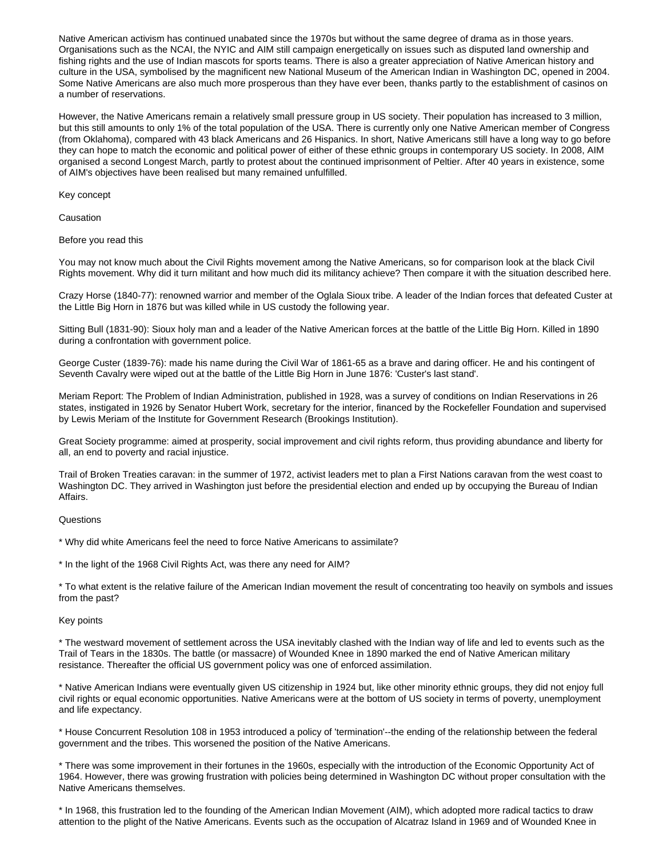Native American activism has continued unabated since the 1970s but without the same degree of drama as in those years. Organisations such as the NCAI, the NYIC and AIM still campaign energetically on issues such as disputed land ownership and fishing rights and the use of Indian mascots for sports teams. There is also a greater appreciation of Native American history and culture in the USA, symbolised by the magnificent new National Museum of the American Indian in Washington DC, opened in 2004. Some Native Americans are also much more prosperous than they have ever been, thanks partly to the establishment of casinos on a number of reservations.

However, the Native Americans remain a relatively small pressure group in US society. Their population has increased to 3 million, but this still amounts to only 1% of the total population of the USA. There is currently only one Native American member of Congress (from Oklahoma), compared with 43 black Americans and 26 Hispanics. In short, Native Americans still have a long way to go before they can hope to match the economic and political power of either of these ethnic groups in contemporary US society. In 2008, AIM organised a second Longest March, partly to protest about the continued imprisonment of Peltier. After 40 years in existence, some of AIM's objectives have been realised but many remained unfulfilled.

Key concept

Causation

Before you read this

You may not know much about the Civil Rights movement among the Native Americans, so for comparison look at the black Civil Rights movement. Why did it turn militant and how much did its militancy achieve? Then compare it with the situation described here.

Crazy Horse (1840-77): renowned warrior and member of the Oglala Sioux tribe. A leader of the Indian forces that defeated Custer at the Little Big Horn in 1876 but was killed while in US custody the following year.

Sitting Bull (1831-90): Sioux holy man and a leader of the Native American forces at the battle of the Little Big Horn. Killed in 1890 during a confrontation with government police.

George Custer (1839-76): made his name during the Civil War of 1861-65 as a brave and daring officer. He and his contingent of Seventh Cavalry were wiped out at the battle of the Little Big Horn in June 1876: 'Custer's last stand'.

Meriam Report: The Problem of Indian Administration, published in 1928, was a survey of conditions on Indian Reservations in 26 states, instigated in 1926 by Senator Hubert Work, secretary for the interior, financed by the Rockefeller Foundation and supervised by Lewis Meriam of the Institute for Government Research (Brookings Institution).

Great Society programme: aimed at prosperity, social improvement and civil rights reform, thus providing abundance and liberty for all, an end to poverty and racial injustice.

Trail of Broken Treaties caravan: in the summer of 1972, activist leaders met to plan a First Nations caravan from the west coast to Washington DC. They arrived in Washington just before the presidential election and ended up by occupying the Bureau of Indian Affairs.

**Questions** 

\* Why did white Americans feel the need to force Native Americans to assimilate?

\* In the light of the 1968 Civil Rights Act, was there any need for AIM?

\* To what extent is the relative failure of the American Indian movement the result of concentrating too heavily on symbols and issues from the past?

## Key points

\* The westward movement of settlement across the USA inevitably clashed with the Indian way of life and led to events such as the Trail of Tears in the 1830s. The battle (or massacre) of Wounded Knee in 1890 marked the end of Native American military resistance. Thereafter the official US government policy was one of enforced assimilation.

\* Native American Indians were eventually given US citizenship in 1924 but, like other minority ethnic groups, they did not enjoy full civil rights or equal economic opportunities. Native Americans were at the bottom of US society in terms of poverty, unemployment and life expectancy.

\* House Concurrent Resolution 108 in 1953 introduced a policy of 'termination'--the ending of the relationship between the federal government and the tribes. This worsened the position of the Native Americans.

\* There was some improvement in their fortunes in the 1960s, especially with the introduction of the Economic Opportunity Act of 1964. However, there was growing frustration with policies being determined in Washington DC without proper consultation with the Native Americans themselves.

\* In 1968, this frustration led to the founding of the American Indian Movement (AIM), which adopted more radical tactics to draw attention to the plight of the Native Americans. Events such as the occupation of Alcatraz Island in 1969 and of Wounded Knee in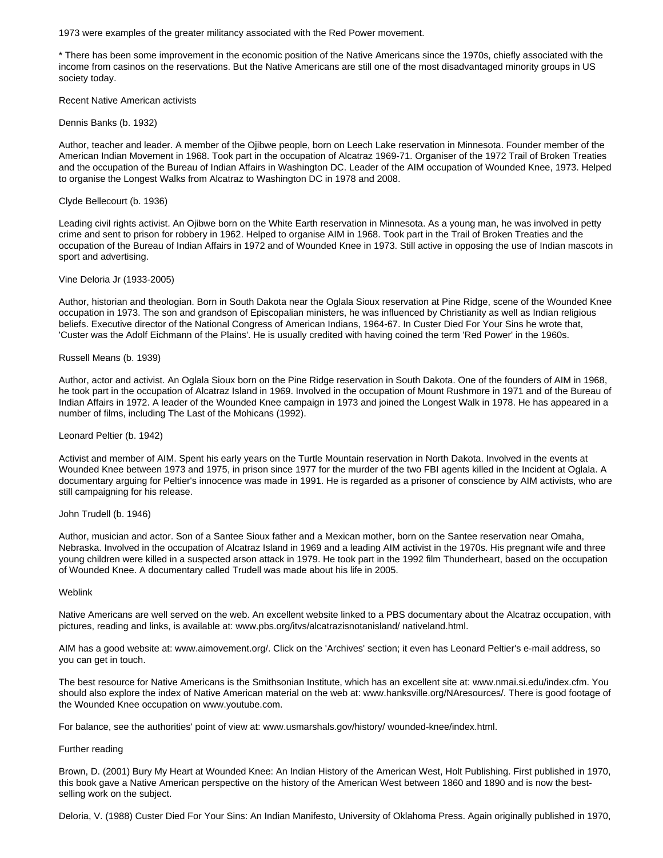1973 were examples of the greater militancy associated with the Red Power movement.

\* There has been some improvement in the economic position of the Native Americans since the 1970s, chiefly associated with the income from casinos on the reservations. But the Native Americans are still one of the most disadvantaged minority groups in US society today.

Recent Native American activists

Dennis Banks (b. 1932)

Author, teacher and leader. A member of the Ojibwe people, born on Leech Lake reservation in Minnesota. Founder member of the American Indian Movement in 1968. Took part in the occupation of Alcatraz 1969-71. Organiser of the 1972 Trail of Broken Treaties and the occupation of the Bureau of Indian Affairs in Washington DC. Leader of the AIM occupation of Wounded Knee, 1973. Helped to organise the Longest Walks from Alcatraz to Washington DC in 1978 and 2008.

## Clyde Bellecourt (b. 1936)

Leading civil rights activist. An Ojibwe born on the White Earth reservation in Minnesota. As a young man, he was involved in petty crime and sent to prison for robbery in 1962. Helped to organise AIM in 1968. Took part in the Trail of Broken Treaties and the occupation of the Bureau of Indian Affairs in 1972 and of Wounded Knee in 1973. Still active in opposing the use of Indian mascots in sport and advertising.

## Vine Deloria Jr (1933-2005)

Author, historian and theologian. Born in South Dakota near the Oglala Sioux reservation at Pine Ridge, scene of the Wounded Knee occupation in 1973. The son and grandson of Episcopalian ministers, he was influenced by Christianity as well as Indian religious beliefs. Executive director of the National Congress of American Indians, 1964-67. In Custer Died For Your Sins he wrote that, 'Custer was the Adolf Eichmann of the Plains'. He is usually credited with having coined the term 'Red Power' in the 1960s.

## Russell Means (b. 1939)

Author, actor and activist. An Oglala Sioux born on the Pine Ridge reservation in South Dakota. One of the founders of AIM in 1968, he took part in the occupation of Alcatraz Island in 1969. Involved in the occupation of Mount Rushmore in 1971 and of the Bureau of Indian Affairs in 1972. A leader of the Wounded Knee campaign in 1973 and joined the Longest Walk in 1978. He has appeared in a number of films, including The Last of the Mohicans (1992).

## Leonard Peltier (b. 1942)

Activist and member of AIM. Spent his early years on the Turtle Mountain reservation in North Dakota. Involved in the events at Wounded Knee between 1973 and 1975, in prison since 1977 for the murder of the two FBI agents killed in the Incident at Oglala. A documentary arguing for Peltier's innocence was made in 1991. He is regarded as a prisoner of conscience by AIM activists, who are still campaigning for his release.

## John Trudell (b. 1946)

Author, musician and actor. Son of a Santee Sioux father and a Mexican mother, born on the Santee reservation near Omaha, Nebraska. Involved in the occupation of Alcatraz Island in 1969 and a leading AIM activist in the 1970s. His pregnant wife and three young children were killed in a suspected arson attack in 1979. He took part in the 1992 film Thunderheart, based on the occupation of Wounded Knee. A documentary called Trudell was made about his life in 2005.

## Weblink

Native Americans are well served on the web. An excellent website linked to a PBS documentary about the Alcatraz occupation, with pictures, reading and links, is available at: www.pbs.org/itvs/alcatrazisnotanisland/ nativeland.html.

AIM has a good website at: www.aimovement.org/. Click on the 'Archives' section; it even has Leonard Peltier's e-mail address, so you can get in touch.

The best resource for Native Americans is the Smithsonian Institute, which has an excellent site at: www.nmai.si.edu/index.cfm. You should also explore the index of Native American material on the web at: www.hanksville.org/NAresources/. There is good footage of the Wounded Knee occupation on www.youtube.com.

For balance, see the authorities' point of view at: www.usmarshals.gov/history/ wounded-knee/index.html.

## Further reading

Brown, D. (2001) Bury My Heart at Wounded Knee: An Indian History of the American West, Holt Publishing. First published in 1970, this book gave a Native American perspective on the history of the American West between 1860 and 1890 and is now the bestselling work on the subject.

Deloria, V. (1988) Custer Died For Your Sins: An Indian Manifesto, University of Oklahoma Press. Again originally published in 1970,